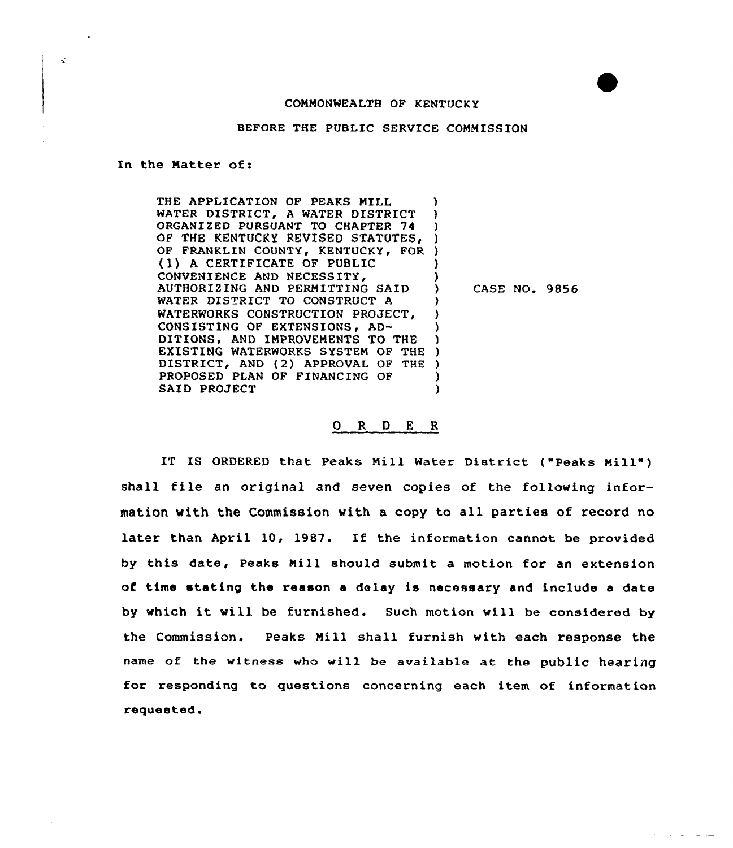## COMMONWEALTH OF KENTUCKY

BEFORE THE PUBLIC SERVICE COMMISSION

In the Natter of:

 $\mathbf{z}$ 

THE APPLICATION OF PEAKS MILL (1)<br>WATER DISTRICT, A WATER DISTRICT (1) WATER DISTRICT, A WATER DISTRICT )<br>ORGANIZED PURSUANT TO CHAPTER 74 ORGANIZED PURSUANT TO CHAPTER 74 OF THE KENTUCKY REVISED STATUTES, ) OF FRANKLIN COUNTY, KENTUCKY, FOR ) (1) <sup>A</sup> CERTIFICATE OF PUBLIC ) CONVENIENCE AND NECESSITY, ) AUTHORIZING AND PERMITTING SAID ) WATER DISTRICT TO CONSTRUCT A WATERWORKS CONSTRUCTION PROJECT. CONSISTING OF EXTENSIONS, AD-DITIONS, AND IMPROVEMENTS TO THE ) EXISTING WATERWORKS SYSTEM OF THE ) DISTRICT, AND (2) APPROVAL OF THE )<br>PROPOSED PLAN OF FINANCING OF ) PROPOSED PLAN OF FINANCING OF )<br>SAID PROJECT () SAID PROJECT CASE NO. 9856

## 0 <sup>R</sup> <sup>D</sup> <sup>E</sup> <sup>R</sup>

IT IS ORDERED that Peaks Mill water District ("Peaks Mill" ) shall file an original and seven copies of the following information with the Commission with a copy to all parties of record no later than April 10, 1987. If the information cannot be provided by this date, Peaks Mill should submit a motion for an extension of time stating the reason a delay is necessary and include a date by which it will be furnished. Such motion will be considered by the Commission. Peaks Nill shall furnish with each response the name of the witness who will be available at the public hearing for responding to questions concerning each item of information requested.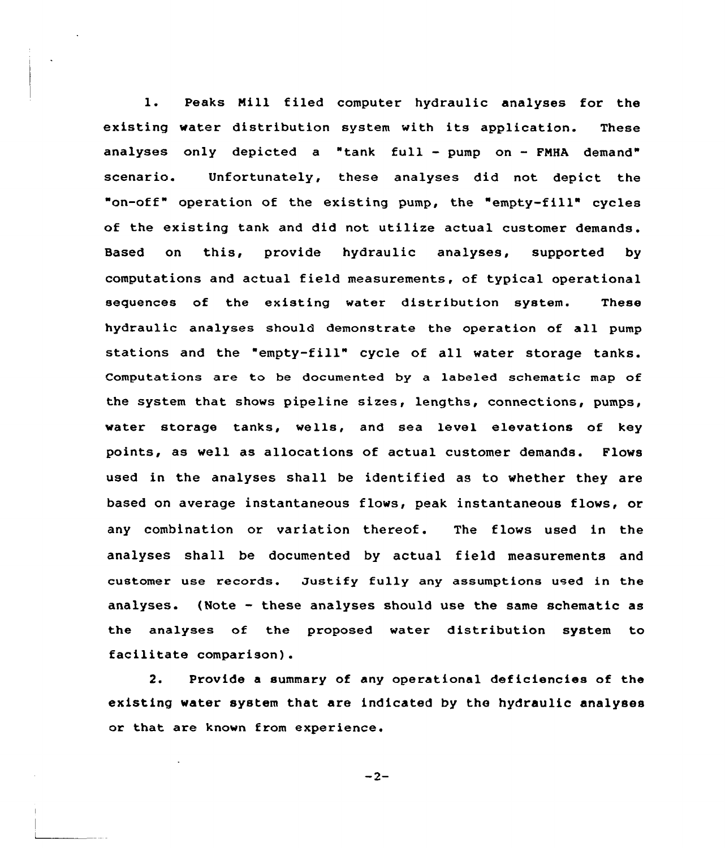1. Peaks Nill filed computer hydraulic analyses for the existing water distribution system with its application. These analyses only depicted a "tank full — pump on — FNHA demand" scenario. Unfortunately, these analyses did not depict the "on-off" operation of the existing pump, the "empty-fill" cycles of the existing tank and did not utilize actual customer demands. Based on this, provide hydraulic analyses, supported by computations and actual field measurements, of typical operational sequences of the existing water distribution system. These hydraulic analyses should demonstrate the operation of all pump stations and the "empty-fill" cycle of all water storage tanks. Computations are to be documented by a labeled schematic map of the system that shows pipeline sizes, lengths, connections, pumps, water storage tanks, wells, and sea level elevations of key points, as well as allocations of actual customer demands. Flows used in the analyses shall be identified as to whether they are based on average instantaneous flows, peak instantaneous flows, or any combination or variation thereof. The flows used in the analyses shall be documented by actual field measurements and customer use records. Justify fully any assumptions used in the analyses. (Note — these analyses should use the same schematic as the analyses of the proposed water distribution system to facilitate comparison).

2. Provide a summary of any operational deficiencies of the existing water system that are indicated by the hydraulic analyses or that are known from experience.

 $-2-$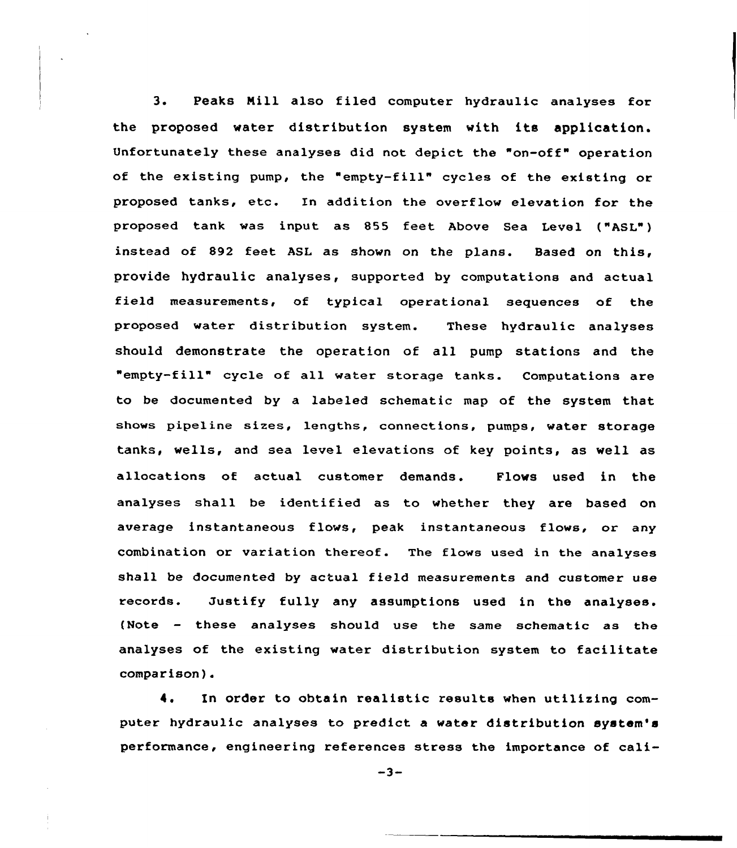3. Peaks Mill also filed computer hydraulic analyses for the proposed water distribution system with its application. Unfortunately these analyses did not depict the "on-off" operation of the existing pump, the "empty-fill" cycles of the existing or proposed tanks, etc. En addition the overflow elevation for the proposed tank was input as 855 feet Above Sea Level ("ASL") instead of 892 feet ASL as shown on the plans. Based on this, provide hydraulic analyses, supported by computations and actual field measurements, of typical operational sequences of the proposed water distribution system. These hydraulic analyses should demonstrate the operation of all pump stations and the "empty-fill" cycle of all water storage tanks. Computations are to be documented by a labeled schematic map of the system that shows pipeline sizes, lengths, connections, pumps, water storage tanks, wells, and sea level elevations of key points, as well as allocations of actual customer demands. Flows used in the analyses shall be identified as to whether they are based on average instantaneous flows, peak instantaneous flows, or any Combination or variation thereof. The flows used in the analyses shall be documented by actual field measurements and customer use records. Justify fully any assumptions used in the analyses. {Note — these analyses should use the same schematic as the analyses of the existing water distribution system to facilitate comparison).

4. In order to obtain realistic results when utilizing computer hydraulic analyses to predict a water distribution system's performance, engineering references stress the importance of cali-

 $-3-$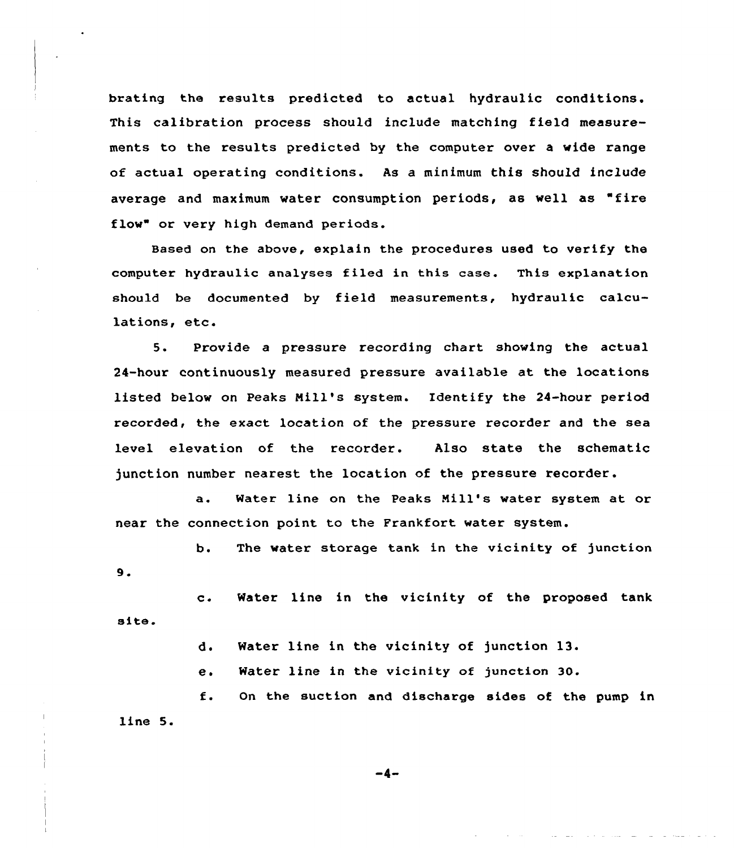brating the results predicted to actual hydraulic conditions. This calibration process should include matching field measurements to the results predicted by the computer over a wide range of actual operating conditions. As a minimum this should include average and maximum water consumption periods, as well as "fire flow" or very high demand periods.

Based on the above, explain the procedures used to verify the computer hydraulic analyses filed in this case. This explanation should be documented by field measurements, hydraulic calculations, etc.

5. Provide <sup>a</sup> pressure recording chart showing the actual 24-hour continuously measured pressure available at the locations listed below on Peaks Nill's system. Identify the 24-hour period recorded, the exact location of the pressure recorder and the sea level elevation of the recorder. Also state the schematic junction number nearest the location of the pressure recorder.

a. Water line on the Peaks Nill's water system at or near the connection point to the Frankfort water system.

b. The water storage tank in the vicinity of junction 9.

site. c. Water line in the vicinity of the proposed tank

d. Water line in the vicinity of junction 13.

e. Water line in the vicinity of junction 30.

f. On the suction and discharge sides of the pump in line 5.

-4.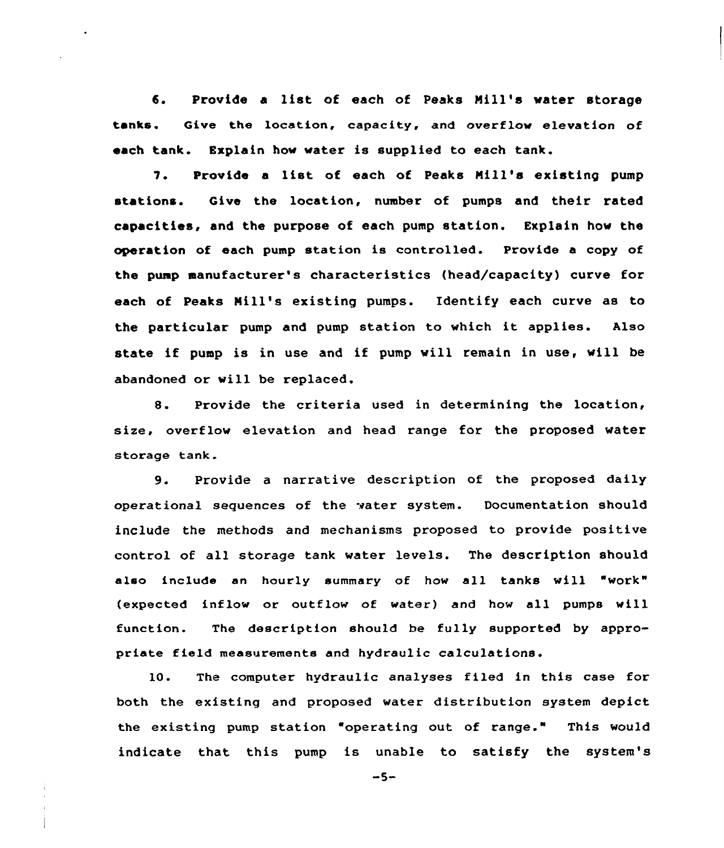6. Provide <sup>a</sup> list of each of Peaks Mill's vater storage tanks. Give the location, capacity, and overflow elevation of each tank. Explain hov water is supplied to each tank.

7. Provide <sup>a</sup> list of each of Peaks Nill's existing pump stations. Give the location, number of pumps and their rated capacities, and the purpose of each pump station. Explain hov the operation of each pump station is controlled. Provide a copy of the pump manufacturer's characteristics (head/capacity) curve for each of Peaks Mill's existing pumps. Identify each curve as to the particular pump and pump station to which it applies. Also state if pump is in use and if pump will remain in use, vill be abandoned or vill be replaced.

8. Provide the criteria used in determining the location, size, overflow elevation and head range for the proposed water storage tank.

9. Provide <sup>a</sup> narrative description of the proposed daily operational sequences of the water system. Documentation should include the methods and mechanisms proposed to provide positive control of all storage tank water levels. The description should also include an hourly summary of how all tanks will "work" (expected inflow or outflow of water) and how all pumps vill function. The description should be fully supported by appropriate field measurements and hydraulic calculations.

10. The computer hydraulic analyses filed in this case for both the existing and proposed water distribution system depict the existing pump station "operating out of range." This would indicate that this pump is unable to satisfy the system's

 $-5-$